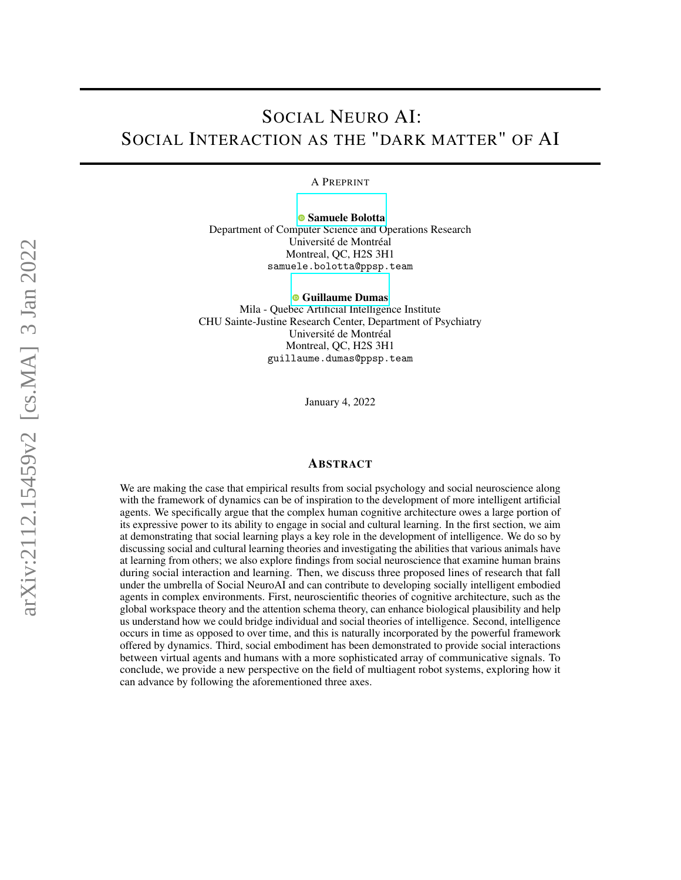# SOCIAL NEURO AI: SOCIAL INTERACTION AS THE "DARK MATTER" OF AI

A PREPRINT

[Samuele Bolotta](https://orcid.org/0000-0000-0000-0000) Department of Computer Science and Operations Research

Université de Montréal Montreal, QC, H2S 3H1 samuele.bolotta@ppsp.team

[Guillaume Dumas](https://orcid.org/0000-0000-0000-0000)

Mila - Quebec Artificial Intelligence Institute CHU Sainte-Justine Research Center, Department of Psychiatry Université de Montréal Montreal, QC, H2S 3H1 guillaume.dumas@ppsp.team

January 4, 2022

## ABSTRACT

We are making the case that empirical results from social psychology and social neuroscience along with the framework of dynamics can be of inspiration to the development of more intelligent artificial agents. We specifically argue that the complex human cognitive architecture owes a large portion of its expressive power to its ability to engage in social and cultural learning. In the first section, we aim at demonstrating that social learning plays a key role in the development of intelligence. We do so by discussing social and cultural learning theories and investigating the abilities that various animals have at learning from others; we also explore findings from social neuroscience that examine human brains during social interaction and learning. Then, we discuss three proposed lines of research that fall under the umbrella of Social NeuroAI and can contribute to developing socially intelligent embodied agents in complex environments. First, neuroscientific theories of cognitive architecture, such as the global workspace theory and the attention schema theory, can enhance biological plausibility and help us understand how we could bridge individual and social theories of intelligence. Second, intelligence occurs in time as opposed to over time, and this is naturally incorporated by the powerful framework offered by dynamics. Third, social embodiment has been demonstrated to provide social interactions between virtual agents and humans with a more sophisticated array of communicative signals. To conclude, we provide a new perspective on the field of multiagent robot systems, exploring how it can advance by following the aforementioned three axes.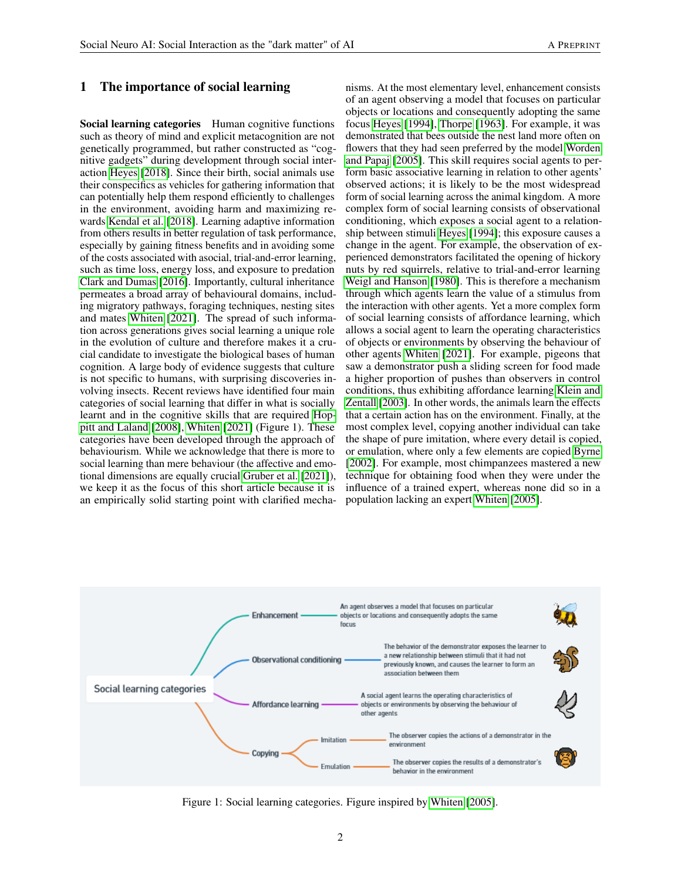# 1 The importance of social learning

Social learning categories Human cognitive functions such as theory of mind and explicit metacognition are not genetically programmed, but rather constructed as "cognitive gadgets" during development through social interaction [Heyes](#page-6-0) [\[2018\]](#page-6-0). Since their birth, social animals use their conspecifics as vehicles for gathering information that can potentially help them respond efficiently to challenges in the environment, avoiding harm and maximizing rewards [Kendal et al.](#page-6-1) [\[2018\]](#page-6-1). Learning adaptive information from others results in better regulation of task performance, especially by gaining fitness benefits and in avoiding some of the costs associated with asocial, trial-and-error learning, such as time loss, energy loss, and exposure to predation [Clark and Dumas](#page-6-2) [\[2016\]](#page-6-2). Importantly, cultural inheritance permeates a broad array of behavioural domains, including migratory pathways, foraging techniques, nesting sites and mates [Whiten](#page-6-3) [\[2021\]](#page-6-3). The spread of such information across generations gives social learning a unique role in the evolution of culture and therefore makes it a crucial candidate to investigate the biological bases of human cognition. A large body of evidence suggests that culture is not specific to humans, with surprising discoveries involving insects. Recent reviews have identified four main categories of social learning that differ in what is socially learnt and in the cognitive skills that are required [Hop](#page-6-4)[pitt and Laland](#page-6-4) [\[2008\]](#page-6-4), [Whiten](#page-6-3) [\[2021\]](#page-6-3) (Figure 1). These categories have been developed through the approach of behaviourism. While we acknowledge that there is more to social learning than mere behaviour (the affective and emotional dimensions are equally crucial [Gruber et al.](#page-6-5) [\[2021\]](#page-6-5)), we keep it as the focus of this short article because it is an empirically solid starting point with clarified mechanisms. At the most elementary level, enhancement consists of an agent observing a model that focuses on particular objects or locations and consequently adopting the same focus [Heyes](#page-6-6) [\[1994\]](#page-6-6), [Thorpe](#page-6-7) [\[1963\]](#page-6-7). For example, it was demonstrated that bees outside the nest land more often on flowers that they had seen preferred by the model [Worden](#page-6-8) [and Papaj](#page-6-8) [\[2005\]](#page-6-8). This skill requires social agents to perform basic associative learning in relation to other agents' observed actions; it is likely to be the most widespread form of social learning across the animal kingdom. A more complex form of social learning consists of observational conditioning, which exposes a social agent to a relationship between stimuli [Heyes](#page-6-6) [\[1994\]](#page-6-6); this exposure causes a change in the agent. For example, the observation of experienced demonstrators facilitated the opening of hickory nuts by red squirrels, relative to trial-and-error learning [Weigl and Hanson](#page-6-9) [\[1980\]](#page-6-9). This is therefore a mechanism through which agents learn the value of a stimulus from the interaction with other agents. Yet a more complex form of social learning consists of affordance learning, which allows a social agent to learn the operating characteristics of objects or environments by observing the behaviour of other agents [Whiten](#page-6-3) [\[2021\]](#page-6-3). For example, pigeons that saw a demonstrator push a sliding screen for food made a higher proportion of pushes than observers in control conditions, thus exhibiting affordance learning [Klein and](#page-6-10) [Zentall](#page-6-10) [\[2003\]](#page-6-10). In other words, the animals learn the effects that a certain action has on the environment. Finally, at the most complex level, copying another individual can take the shape of pure imitation, where every detail is copied, or emulation, where only a few elements are copied [Byrne](#page-6-11) [\[2002\]](#page-6-11). For example, most chimpanzees mastered a new technique for obtaining food when they were under the influence of a trained expert, whereas none did so in a population lacking an expert [Whiten](#page-6-12) [\[2005\]](#page-6-12).



Figure 1: Social learning categories. Figure inspired by [Whiten](#page-6-12) [\[2005\]](#page-6-12).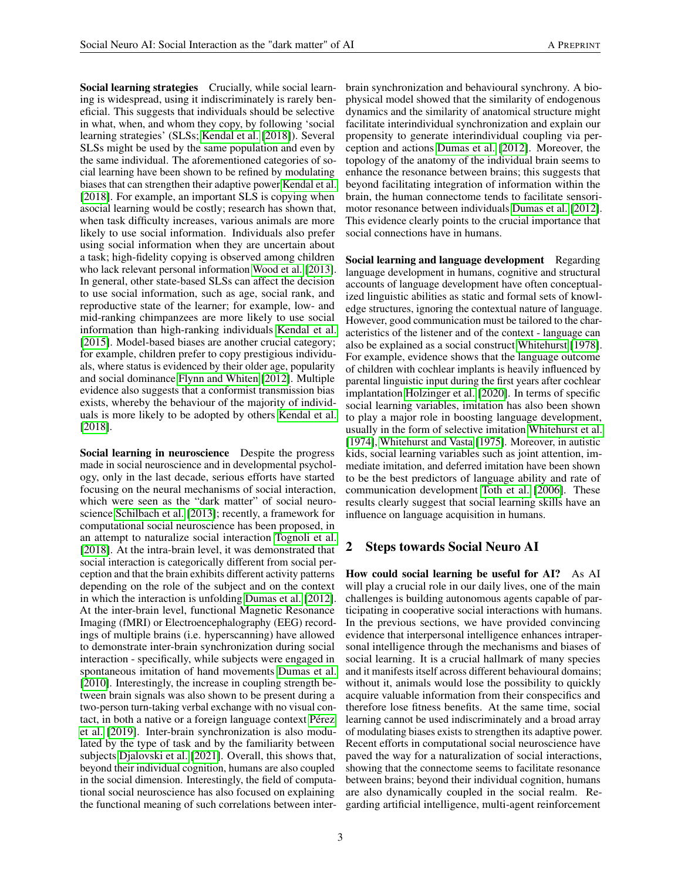Social learning strategies Crucially, while social learning is widespread, using it indiscriminately is rarely beneficial. This suggests that individuals should be selective in what, when, and whom they copy, by following 'social learning strategies' (SLSs; [Kendal et al.](#page-6-1) [\[2018\]](#page-6-1)). Several SLSs might be used by the same population and even by the same individual. The aforementioned categories of social learning have been shown to be refined by modulating biases that can strengthen their adaptive power [Kendal et al.](#page-6-1) [\[2018\]](#page-6-1). For example, an important SLS is copying when asocial learning would be costly; research has shown that, when task difficulty increases, various animals are more likely to use social information. Individuals also prefer using social information when they are uncertain about a task; high-fidelity copying is observed among children who lack relevant personal information [Wood et al.](#page-6-13) [\[2013\]](#page-6-13). In general, other state-based SLSs can affect the decision to use social information, such as age, social rank, and reproductive state of the learner; for example, low- and mid-ranking chimpanzees are more likely to use social information than high-ranking individuals [Kendal et al.](#page-6-14) [\[2015\]](#page-6-14). Model-based biases are another crucial category; for example, children prefer to copy prestigious individuals, where status is evidenced by their older age, popularity and social dominance [Flynn and Whiten](#page-6-15) [\[2012\]](#page-6-15). Multiple evidence also suggests that a conformist transmission bias exists, whereby the behaviour of the majority of individuals is more likely to be adopted by others [Kendal et al.](#page-6-1) [\[2018\]](#page-6-1).

Social learning in neuroscience Despite the progress made in social neuroscience and in developmental psychology, only in the last decade, serious efforts have started focusing on the neural mechanisms of social interaction, which were seen as the "dark matter" of social neuroscience [Schilbach et al.](#page-6-16) [\[2013\]](#page-6-16); recently, a framework for computational social neuroscience has been proposed, in an attempt to naturalize social interaction [Tognoli et al.](#page-6-17) [\[2018\]](#page-6-17). At the intra-brain level, it was demonstrated that social interaction is categorically different from social perception and that the brain exhibits different activity patterns depending on the role of the subject and on the context in which the interaction is unfolding [Dumas et al.](#page-6-18) [\[2012\]](#page-6-18). At the inter-brain level, functional Magnetic Resonance Imaging (fMRI) or Electroencephalography (EEG) recordings of multiple brains (i.e. hyperscanning) have allowed to demonstrate inter-brain synchronization during social interaction - specifically, while subjects were engaged in spontaneous imitation of hand movements [Dumas et al.](#page-6-19) [\[2010\]](#page-6-19). Interestingly, the increase in coupling strength between brain signals was also shown to be present during a two-person turn-taking verbal exchange with no visual contact, in both a native or a foreign language context [Pérez](#page-7-0) [et al.](#page-7-0) [\[2019\]](#page-7-0). Inter-brain synchronization is also modulated by the type of task and by the familiarity between subjects [Djalovski et al.](#page-7-1) [\[2021\]](#page-7-1). Overall, this shows that, beyond their individual cognition, humans are also coupled in the social dimension. Interestingly, the field of computational social neuroscience has also focused on explaining the functional meaning of such correlations between interbrain synchronization and behavioural synchrony. A biophysical model showed that the similarity of endogenous dynamics and the similarity of anatomical structure might facilitate interindividual synchronization and explain our propensity to generate interindividual coupling via perception and actions [Dumas et al.](#page-6-18) [\[2012\]](#page-6-18). Moreover, the topology of the anatomy of the individual brain seems to enhance the resonance between brains; this suggests that beyond facilitating integration of information within the brain, the human connectome tends to facilitate sensorimotor resonance between individuals [Dumas et al.](#page-6-18) [\[2012\]](#page-6-18). This evidence clearly points to the crucial importance that social connections have in humans.

Social learning and language development Regarding language development in humans, cognitive and structural accounts of language development have often conceptualized linguistic abilities as static and formal sets of knowledge structures, ignoring the contextual nature of language. However, good communication must be tailored to the characteristics of the listener and of the context - language can also be explained as a social construct [Whitehurst](#page-7-2) [\[1978\]](#page-7-2). For example, evidence shows that the language outcome of children with cochlear implants is heavily influenced by parental linguistic input during the first years after cochlear implantation [Holzinger et al.](#page-7-3) [\[2020\]](#page-7-3). In terms of specific social learning variables, imitation has also been shown to play a major role in boosting language development, usually in the form of selective imitation [Whitehurst et al.](#page-7-4) [\[1974\]](#page-7-4), [Whitehurst and Vasta](#page-7-5) [\[1975\]](#page-7-5). Moreover, in autistic kids, social learning variables such as joint attention, immediate imitation, and deferred imitation have been shown to be the best predictors of language ability and rate of communication development [Toth et al.](#page-7-6) [\[2006\]](#page-7-6). These results clearly suggest that social learning skills have an influence on language acquisition in humans.

# 2 Steps towards Social Neuro AI

How could social learning be useful for AI? As AI will play a crucial role in our daily lives, one of the main challenges is building autonomous agents capable of participating in cooperative social interactions with humans. In the previous sections, we have provided convincing evidence that interpersonal intelligence enhances intrapersonal intelligence through the mechanisms and biases of social learning. It is a crucial hallmark of many species and it manifests itself across different behavioural domains; without it, animals would lose the possibility to quickly acquire valuable information from their conspecifics and therefore lose fitness benefits. At the same time, social learning cannot be used indiscriminately and a broad array of modulating biases exists to strengthen its adaptive power. Recent efforts in computational social neuroscience have paved the way for a naturalization of social interactions, showing that the connectome seems to facilitate resonance between brains; beyond their individual cognition, humans are also dynamically coupled in the social realm. Regarding artificial intelligence, multi-agent reinforcement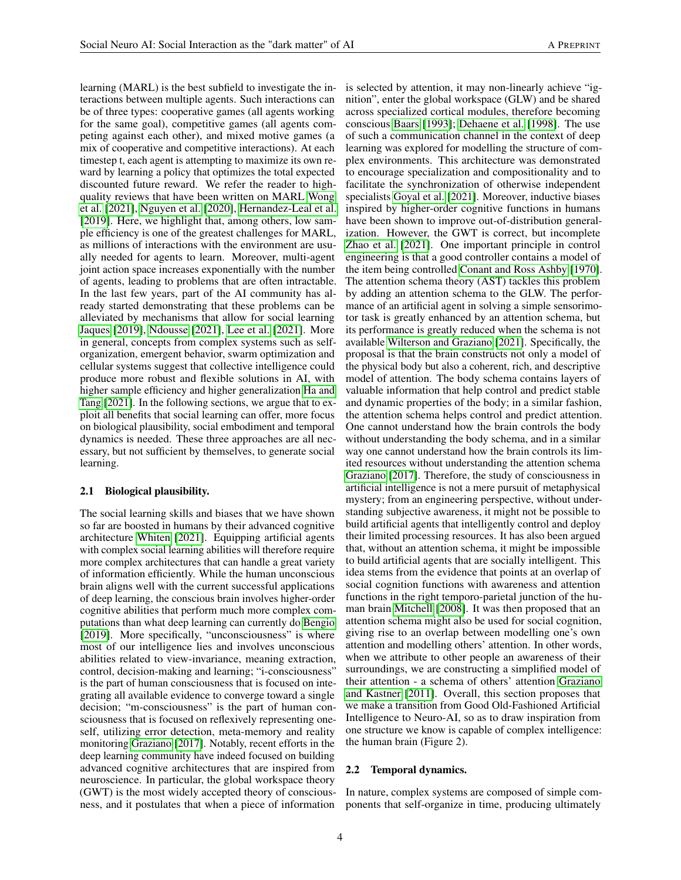learning (MARL) is the best subfield to investigate the interactions between multiple agents. Such interactions can be of three types: cooperative games (all agents working for the same goal), competitive games (all agents competing against each other), and mixed motive games (a mix of cooperative and competitive interactions). At each timestep t, each agent is attempting to maximize its own reward by learning a policy that optimizes the total expected discounted future reward. We refer the reader to highquality reviews that have been written on MARL [Wong](#page-7-7) [et al.](#page-7-7) [\[2021\]](#page-7-7), [Nguyen et al.](#page-7-8) [\[2020\]](#page-7-8), [Hernandez-Leal et al.](#page-7-9) [\[2019\]](#page-7-9). Here, we highlight that, among others, low sample efficiency is one of the greatest challenges for MARL, as millions of interactions with the environment are usually needed for agents to learn. Moreover, multi-agent joint action space increases exponentially with the number of agents, leading to problems that are often intractable. In the last few years, part of the AI community has already started demonstrating that these problems can be alleviated by mechanisms that allow for social learning [Jaques](#page-7-10) [\[2019\]](#page-7-10), [Ndousse](#page-7-11) [\[2021\]](#page-7-11), [Lee et al.](#page-7-12) [\[2021\]](#page-7-12). More in general, concepts from complex systems such as selforganization, emergent behavior, swarm optimization and cellular systems suggest that collective intelligence could produce more robust and flexible solutions in AI, with higher sample efficiency and higher generalization [Ha and](#page-7-13) [Tang](#page-7-13) [\[2021\]](#page-7-13). In the following sections, we argue that to exploit all benefits that social learning can offer, more focus on biological plausibility, social embodiment and temporal dynamics is needed. These three approaches are all necessary, but not sufficient by themselves, to generate social learning.

#### 2.1 Biological plausibility.

The social learning skills and biases that we have shown so far are boosted in humans by their advanced cognitive architecture [Whiten](#page-6-3) [\[2021\]](#page-6-3). Equipping artificial agents with complex social learning abilities will therefore require more complex architectures that can handle a great variety of information efficiently. While the human unconscious brain aligns well with the current successful applications of deep learning, the conscious brain involves higher-order cognitive abilities that perform much more complex computations than what deep learning can currently do [Bengio](#page-7-14) [\[2019\]](#page-7-14). More specifically, "unconsciousness" is where most of our intelligence lies and involves unconscious abilities related to view-invariance, meaning extraction, control, decision-making and learning; "i-consciousness" is the part of human consciousness that is focused on integrating all available evidence to converge toward a single decision; "m-consciousness" is the part of human consciousness that is focused on reflexively representing oneself, utilizing error detection, meta-memory and reality monitoring [Graziano](#page-7-15) [\[2017\]](#page-7-15). Notably, recent efforts in the deep learning community have indeed focused on building advanced cognitive architectures that are inspired from neuroscience. In particular, the global workspace theory (GWT) is the most widely accepted theory of consciousness, and it postulates that when a piece of information

is selected by attention, it may non-linearly achieve "ignition", enter the global workspace (GLW) and be shared across specialized cortical modules, therefore becoming conscious [Baars](#page-7-16) [\[1993\]](#page-7-16); [Dehaene et al.](#page-7-17) [\[1998\]](#page-7-17). The use of such a communication channel in the context of deep learning was explored for modelling the structure of complex environments. This architecture was demonstrated to encourage specialization and compositionality and to facilitate the synchronization of otherwise independent specialists [Goyal et al.](#page-7-18) [\[2021\]](#page-7-18). Moreover, inductive biases inspired by higher-order cognitive functions in humans have been shown to improve out-of-distribution generalization. However, the GWT is correct, but incomplete [Zhao et al.](#page-8-0) [\[2021\]](#page-8-0). One important principle in control engineering is that a good controller contains a model of the item being controlled [Conant and Ross Ashby](#page-8-1) [\[1970\]](#page-8-1). The attention schema theory (AST) tackles this problem by adding an attention schema to the GLW. The performance of an artificial agent in solving a simple sensorimotor task is greatly enhanced by an attention schema, but its performance is greatly reduced when the schema is not available [Wilterson and Graziano](#page-8-2) [\[2021\]](#page-8-2). Specifically, the proposal is that the brain constructs not only a model of the physical body but also a coherent, rich, and descriptive model of attention. The body schema contains layers of valuable information that help control and predict stable and dynamic properties of the body; in a similar fashion, the attention schema helps control and predict attention. One cannot understand how the brain controls the body without understanding the body schema, and in a similar way one cannot understand how the brain controls its limited resources without understanding the attention schema [Graziano](#page-7-15) [\[2017\]](#page-7-15). Therefore, the study of consciousness in artificial intelligence is not a mere pursuit of metaphysical mystery; from an engineering perspective, without understanding subjective awareness, it might not be possible to build artificial agents that intelligently control and deploy their limited processing resources. It has also been argued that, without an attention schema, it might be impossible to build artificial agents that are socially intelligent. This idea stems from the evidence that points at an overlap of social cognition functions with awareness and attention functions in the right temporo-parietal junction of the human brain [Mitchell](#page-8-3) [\[2008\]](#page-8-3). It was then proposed that an attention schema might also be used for social cognition, giving rise to an overlap between modelling one's own attention and modelling others' attention. In other words, when we attribute to other people an awareness of their surroundings, we are constructing a simplified model of their attention - a schema of others' attention [Graziano](#page-8-4) [and Kastner](#page-8-4) [\[2011\]](#page-8-4). Overall, this section proposes that we make a transition from Good Old-Fashioned Artificial Intelligence to Neuro-AI, so as to draw inspiration from one structure we know is capable of complex intelligence: the human brain (Figure 2).

#### 2.2 Temporal dynamics.

In nature, complex systems are composed of simple components that self-organize in time, producing ultimately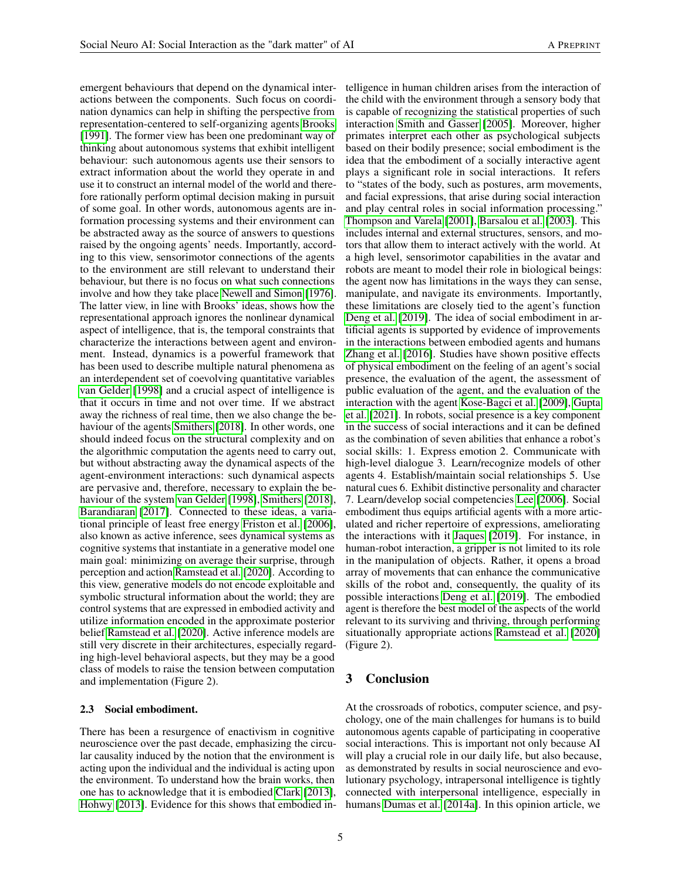emergent behaviours that depend on the dynamical interactions between the components. Such focus on coordination dynamics can help in shifting the perspective from representation-centered to self-organizing agents [Brooks](#page-8-5) [\[1991\]](#page-8-5). The former view has been one predominant way of thinking about autonomous systems that exhibit intelligent behaviour: such autonomous agents use their sensors to extract information about the world they operate in and use it to construct an internal model of the world and therefore rationally perform optimal decision making in pursuit of some goal. In other words, autonomous agents are information processing systems and their environment can be abstracted away as the source of answers to questions raised by the ongoing agents' needs. Importantly, according to this view, sensorimotor connections of the agents to the environment are still relevant to understand their behaviour, but there is no focus on what such connections involve and how they take place [Newell and Simon](#page-8-6) [\[1976\]](#page-8-6). The latter view, in line with Brooks' ideas, shows how the representational approach ignores the nonlinear dynamical aspect of intelligence, that is, the temporal constraints that characterize the interactions between agent and environment. Instead, dynamics is a powerful framework that has been used to describe multiple natural phenomena as an interdependent set of coevolving quantitative variables [van Gelder](#page-8-7) [\[1998\]](#page-8-7) and a crucial aspect of intelligence is that it occurs in time and not over time. If we abstract away the richness of real time, then we also change the behaviour of the agents [Smithers](#page-8-8) [\[2018\]](#page-8-8). In other words, one should indeed focus on the structural complexity and on the algorithmic computation the agents need to carry out, but without abstracting away the dynamical aspects of the agent-environment interactions: such dynamical aspects are pervasive and, therefore, necessary to explain the behaviour of the system [van Gelder](#page-8-7) [\[1998\]](#page-8-7), [Smithers](#page-8-8) [\[2018\]](#page-8-8), [Barandiaran](#page-8-9) [\[2017\]](#page-8-9). Connected to these ideas, a variational principle of least free energy [Friston et al.](#page-8-10) [\[2006\]](#page-8-10), also known as active inference, sees dynamical systems as cognitive systems that instantiate in a generative model one main goal: minimizing on average their surprise, through perception and action [Ramstead et al.](#page-8-11) [\[2020\]](#page-8-11). According to this view, generative models do not encode exploitable and symbolic structural information about the world; they are control systems that are expressed in embodied activity and utilize information encoded in the approximate posterior belief [Ramstead et al.](#page-8-11) [\[2020\]](#page-8-11). Active inference models are still very discrete in their architectures, especially regarding high-level behavioral aspects, but they may be a good class of models to raise the tension between computation and implementation (Figure 2).

#### 2.3 Social embodiment.

There has been a resurgence of enactivism in cognitive neuroscience over the past decade, emphasizing the circular causality induced by the notion that the environment is acting upon the individual and the individual is acting upon the environment. To understand how the brain works, then one has to acknowledge that it is embodied [Clark](#page-8-12) [\[2013\]](#page-8-12), [Hohwy](#page-8-13) [\[2013\]](#page-8-13). Evidence for this shows that embodied intelligence in human children arises from the interaction of the child with the environment through a sensory body that is capable of recognizing the statistical properties of such interaction [Smith and Gasser](#page-8-14) [\[2005\]](#page-8-14). Moreover, higher primates interpret each other as psychological subjects based on their bodily presence; social embodiment is the idea that the embodiment of a socially interactive agent plays a significant role in social interactions. It refers to "states of the body, such as postures, arm movements, and facial expressions, that arise during social interaction and play central roles in social information processing." [Thompson and Varela](#page-8-15) [\[2001\]](#page-8-15), [Barsalou et al.](#page-8-16) [\[2003\]](#page-8-16). This includes internal and external structures, sensors, and motors that allow them to interact actively with the world. At a high level, sensorimotor capabilities in the avatar and robots are meant to model their role in biological beings: the agent now has limitations in the ways they can sense, manipulate, and navigate its environments. Importantly, these limitations are closely tied to the agent's function [Deng et al.](#page-8-17) [\[2019\]](#page-8-17). The idea of social embodiment in artificial agents is supported by evidence of improvements in the interactions between embodied agents and humans [Zhang et al.](#page-8-18) [\[2016\]](#page-8-18). Studies have shown positive effects of physical embodiment on the feeling of an agent's social presence, the evaluation of the agent, the assessment of public evaluation of the agent, and the evaluation of the interaction with the agent [Kose-Bagci et al.](#page-8-19) [\[2009\]](#page-8-19), [Gupta](#page-8-20) [et al.](#page-8-20) [\[2021\]](#page-8-20). In robots, social presence is a key component in the success of social interactions and it can be defined as the combination of seven abilities that enhance a robot's social skills: 1. Express emotion 2. Communicate with high-level dialogue 3. Learn/recognize models of other agents 4. Establish/maintain social relationships 5. Use natural cues 6. Exhibit distinctive personality and character 7. Learn/develop social competencies [Lee](#page-9-0) [\[2006\]](#page-9-0). Social embodiment thus equips artificial agents with a more articulated and richer repertoire of expressions, ameliorating the interactions with it [Jaques](#page-7-10) [\[2019\]](#page-7-10). For instance, in human-robot interaction, a gripper is not limited to its role in the manipulation of objects. Rather, it opens a broad array of movements that can enhance the communicative skills of the robot and, consequently, the quality of its possible interactions [Deng et al.](#page-8-17) [\[2019\]](#page-8-17). The embodied agent is therefore the best model of the aspects of the world relevant to its surviving and thriving, through performing situationally appropriate actions [Ramstead et al.](#page-8-11) [\[2020\]](#page-8-11) (Figure 2).

## 3 Conclusion

At the crossroads of robotics, computer science, and psychology, one of the main challenges for humans is to build autonomous agents capable of participating in cooperative social interactions. This is important not only because AI will play a crucial role in our daily life, but also because, as demonstrated by results in social neuroscience and evolutionary psychology, intrapersonal intelligence is tightly connected with interpersonal intelligence, especially in humans [Dumas et al.](#page-9-1) [\[2014a\]](#page-9-1). In this opinion article, we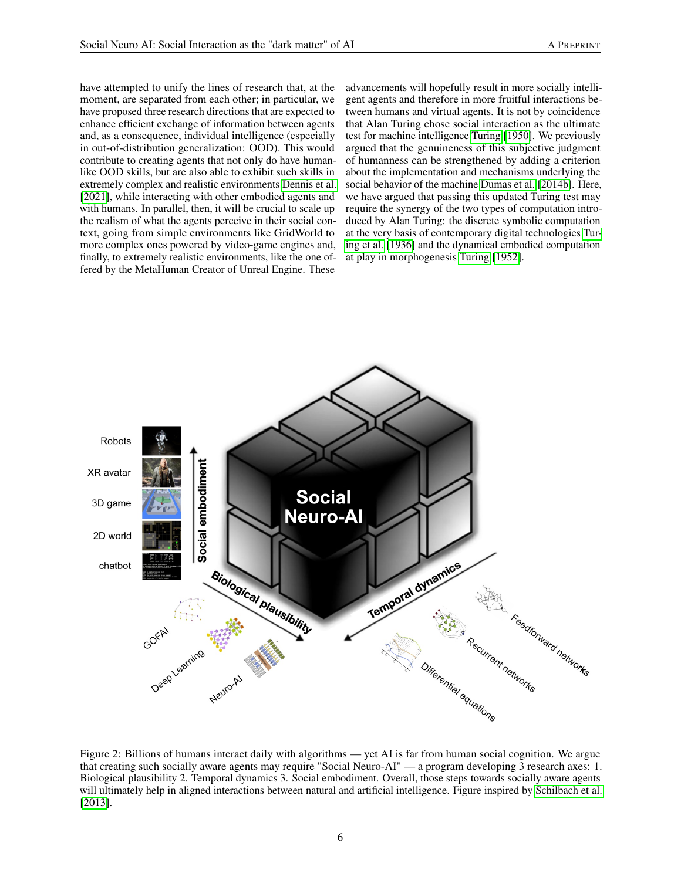have attempted to unify the lines of research that, at the moment, are separated from each other; in particular, we have proposed three research directions that are expected to enhance efficient exchange of information between agents and, as a consequence, individual intelligence (especially in out-of-distribution generalization: OOD). This would contribute to creating agents that not only do have humanlike OOD skills, but are also able to exhibit such skills in extremely complex and realistic environments [Dennis et al.](#page-9-2) [\[2021\]](#page-9-2), while interacting with other embodied agents and with humans. In parallel, then, it will be crucial to scale up the realism of what the agents perceive in their social context, going from simple environments like GridWorld to more complex ones powered by video-game engines and, finally, to extremely realistic environments, like the one offered by the MetaHuman Creator of Unreal Engine. These

advancements will hopefully result in more socially intelligent agents and therefore in more fruitful interactions between humans and virtual agents. It is not by coincidence that Alan Turing chose social interaction as the ultimate test for machine intelligence [Turing](#page-9-3) [\[1950\]](#page-9-3). We previously argued that the genuineness of this subjective judgment of humanness can be strengthened by adding a criterion about the implementation and mechanisms underlying the social behavior of the machine [Dumas et al.](#page-9-4) [\[2014b\]](#page-9-4). Here, we have argued that passing this updated Turing test may require the synergy of the two types of computation introduced by Alan Turing: the discrete symbolic computation at the very basis of contemporary digital technologies [Tur](#page-9-5)[ing et al.](#page-9-5) [\[1936\]](#page-9-5) and the dynamical embodied computation at play in morphogenesis [Turing](#page-9-6) [\[1952\]](#page-9-6).



Figure 2: Billions of humans interact daily with algorithms — yet AI is far from human social cognition. We argue that creating such socially aware agents may require "Social Neuro-AI" — a program developing 3 research axes: 1. Biological plausibility 2. Temporal dynamics 3. Social embodiment. Overall, those steps towards socially aware agents will ultimately help in aligned interactions between natural and artificial intelligence. Figure inspired by [Schilbach et al.](#page-6-16) [\[2013\]](#page-6-16).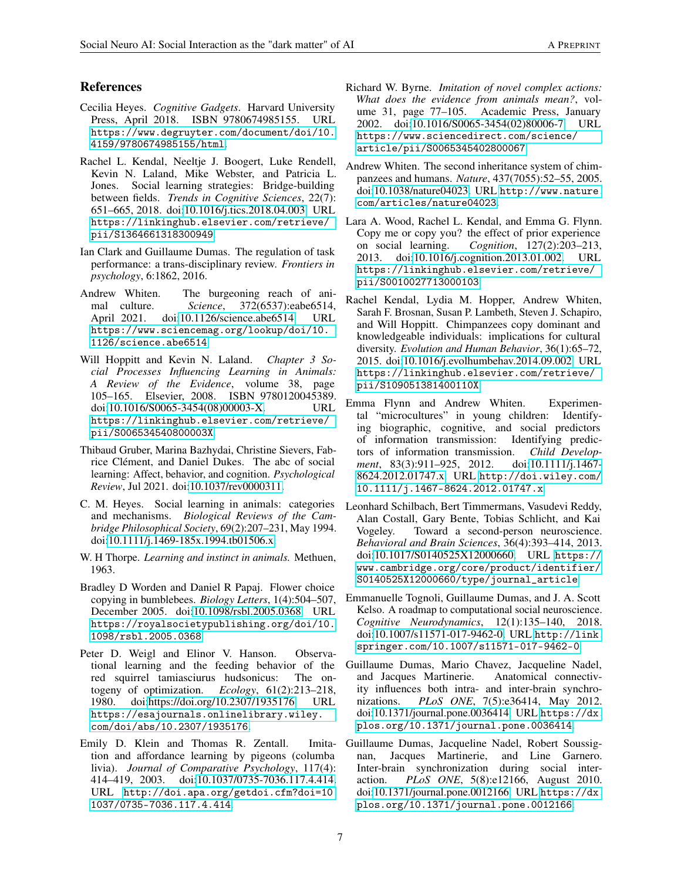### References

- <span id="page-6-0"></span>Cecilia Heyes. *Cognitive Gadgets*. Harvard University Press, April 2018. ISBN 9780674985155. URL [https://www.degruyter.com/document/doi/10.](https://www.degruyter.com/document/doi/10.4159/9780674985155/html) [4159/9780674985155/html](https://www.degruyter.com/document/doi/10.4159/9780674985155/html).
- <span id="page-6-1"></span>Rachel L. Kendal, Neeltje J. Boogert, Luke Rendell, Kevin N. Laland, Mike Webster, and Patricia L. Jones. Social learning strategies: Bridge-building between fields. *Trends in Cognitive Sciences*, 22(7): 651–665, 2018. doi[:10.1016/j.tics.2018.04.003.](https://doi.org/10.1016/j.tics.2018.04.003) URL [https://linkinghub.elsevier.com/retrieve/](https://linkinghub.elsevier.com/retrieve/pii/S1364661318300949) [pii/S1364661318300949](https://linkinghub.elsevier.com/retrieve/pii/S1364661318300949).
- <span id="page-6-2"></span>Ian Clark and Guillaume Dumas. The regulation of task performance: a trans-disciplinary review. *Frontiers in psychology*, 6:1862, 2016.
- <span id="page-6-3"></span>Andrew Whiten. The burgeoning reach of animal culture. *Science*, 372(6537):eabe6514, April 2021. doi[:10.1126/science.abe6514.](https://doi.org/10.1126/science.abe6514) URL [https://www.sciencemag.org/lookup/doi/10.](https://www.sciencemag.org/lookup/doi/10.1126/science.abe6514) [1126/science.abe6514](https://www.sciencemag.org/lookup/doi/10.1126/science.abe6514).
- <span id="page-6-4"></span>Will Hoppitt and Kevin N. Laland. *Chapter 3 Social Processes Influencing Learning in Animals: A Review of the Evidence*, volume 38, page 105–165. Elsevier, 2008. ISBN 9780120045389. doi[:10.1016/S0065-3454\(08\)00003-X.](https://doi.org/10.1016/S0065-3454(08)00003-X) URL [https://linkinghub.elsevier.com/retrieve/](https://linkinghub.elsevier.com/retrieve/pii/S006534540800003X) [pii/S006534540800003X](https://linkinghub.elsevier.com/retrieve/pii/S006534540800003X).
- <span id="page-6-5"></span>Thibaud Gruber, Marina Bazhydai, Christine Sievers, Fabrice Clément, and Daniel Dukes. The abc of social learning: Affect, behavior, and cognition. *Psychological Review*, Jul 2021. doi[:10.1037/rev0000311.](https://doi.org/10.1037/rev0000311)
- <span id="page-6-6"></span>C. M. Heyes. Social learning in animals: categories and mechanisms. *Biological Reviews of the Cambridge Philosophical Society*, 69(2):207–231, May 1994. doi[:10.1111/j.1469-185x.1994.tb01506.x.](https://doi.org/10.1111/j.1469-185x.1994.tb01506.x)
- <span id="page-6-7"></span>W. H Thorpe. *Learning and instinct in animals.* Methuen, 1963.
- <span id="page-6-8"></span>Bradley D Worden and Daniel R Papaj. Flower choice copying in bumblebees. *Biology Letters*, 1(4):504–507, December 2005. doi[:10.1098/rsbl.2005.0368.](https://doi.org/10.1098/rsbl.2005.0368) URL [https://royalsocietypublishing.org/doi/10.](https://royalsocietypublishing.org/doi/10.1098/rsbl.2005.0368) [1098/rsbl.2005.0368](https://royalsocietypublishing.org/doi/10.1098/rsbl.2005.0368).
- <span id="page-6-9"></span>Peter D. Weigl and Elinor V. Hanson. Observational learning and the feeding behavior of the red squirrel tamiasciurus hudsonicus: The ontogeny of optimization. *Ecology*, 61(2):213–218, 1980. doi[:https://doi.org/10.2307/1935176.](https://doi.org/https://doi.org/10.2307/1935176) URL [https://esajournals.onlinelibrary.wiley.](https://esajournals.onlinelibrary.wiley.com/doi/abs/10.2307/1935176) [com/doi/abs/10.2307/1935176](https://esajournals.onlinelibrary.wiley.com/doi/abs/10.2307/1935176).
- <span id="page-6-10"></span>Emily D. Klein and Thomas R. Zentall. Imitation and affordance learning by pigeons (columba livia). *Journal of Comparative Psychology*, 117(4): 414–419, 2003. doi[:10.1037/0735-7036.117.4.414.](https://doi.org/10.1037/0735-7036.117.4.414) URL [http://doi.apa.org/getdoi.cfm?doi=10.](http://doi.apa.org/getdoi.cfm?doi=10.1037/0735-7036.117.4.414) [1037/0735-7036.117.4.414](http://doi.apa.org/getdoi.cfm?doi=10.1037/0735-7036.117.4.414).
- <span id="page-6-11"></span>Richard W. Byrne. *Imitation of novel complex actions: What does the evidence from animals mean?*, volume 31, page 77–105. Academic Press, January 2002. doi[:10.1016/S0065-3454\(02\)80006-7.](https://doi.org/10.1016/S0065-3454(02)80006-7) URL [https://www.sciencedirect.com/science/](https://www.sciencedirect.com/science/article/pii/S0065345402800067) [article/pii/S0065345402800067](https://www.sciencedirect.com/science/article/pii/S0065345402800067).
- <span id="page-6-12"></span>Andrew Whiten. The second inheritance system of chimpanzees and humans. *Nature*, 437(7055):52–55, 2005. doi[:10.1038/nature04023.](https://doi.org/10.1038/nature04023) URL [http://www.nature.](http://www.nature.com/articles/nature04023) [com/articles/nature04023](http://www.nature.com/articles/nature04023).
- <span id="page-6-13"></span>Lara A. Wood, Rachel L. Kendal, and Emma G. Flynn. Copy me or copy you? the effect of prior experience on social learning. *Cognition*, 127(2):203–213, 2013. doi[:10.1016/j.cognition.2013.01.002.](https://doi.org/10.1016/j.cognition.2013.01.002) URL [https://linkinghub.elsevier.com/retrieve/](https://linkinghub.elsevier.com/retrieve/pii/S0010027713000103) [pii/S0010027713000103](https://linkinghub.elsevier.com/retrieve/pii/S0010027713000103).
- <span id="page-6-14"></span>Rachel Kendal, Lydia M. Hopper, Andrew Whiten, Sarah F. Brosnan, Susan P. Lambeth, Steven J. Schapiro, and Will Hoppitt. Chimpanzees copy dominant and knowledgeable individuals: implications for cultural diversity. *Evolution and Human Behavior*, 36(1):65–72, 2015. doi[:10.1016/j.evolhumbehav.2014.09.002.](https://doi.org/10.1016/j.evolhumbehav.2014.09.002) URL [https://linkinghub.elsevier.com/retrieve/](https://linkinghub.elsevier.com/retrieve/pii/S109051381400110X) [pii/S109051381400110X](https://linkinghub.elsevier.com/retrieve/pii/S109051381400110X).
- <span id="page-6-15"></span>Emma Flynn and Andrew Whiten. Experimental "microcultures" in young children: Identifying biographic, cognitive, and social predictors of information transmission: Identifying predictors of information transmission. *Child Development*, 83(3):911–925, 2012. doi[:10.1111/j.1467-](https://doi.org/10.1111/j.1467-8624.2012.01747.x) [8624.2012.01747.x.](https://doi.org/10.1111/j.1467-8624.2012.01747.x) URL [http://doi.wiley.com/](http://doi.wiley.com/10.1111/j.1467-8624.2012.01747.x) [10.1111/j.1467-8624.2012.01747.x](http://doi.wiley.com/10.1111/j.1467-8624.2012.01747.x).
- <span id="page-6-16"></span>Leonhard Schilbach, Bert Timmermans, Vasudevi Reddy, Alan Costall, Gary Bente, Tobias Schlicht, and Kai Vogeley. Toward a second-person neuroscience. *Behavioral and Brain Sciences*, 36(4):393–414, 2013. doi[:10.1017/S0140525X12000660.](https://doi.org/10.1017/S0140525X12000660) URL [https://](https://www.cambridge.org/core/product/identifier/S0140525X12000660/type/journal_article) [www.cambridge.org/core/product/identifier/](https://www.cambridge.org/core/product/identifier/S0140525X12000660/type/journal_article) [S0140525X12000660/type/journal\\_article](https://www.cambridge.org/core/product/identifier/S0140525X12000660/type/journal_article).
- <span id="page-6-17"></span>Emmanuelle Tognoli, Guillaume Dumas, and J. A. Scott Kelso. A roadmap to computational social neuroscience. *Cognitive Neurodynamics*, 12(1):135–140, 2018. doi[:10.1007/s11571-017-9462-0.](https://doi.org/10.1007/s11571-017-9462-0) URL [http://link.](http://link.springer.com/10.1007/s11571-017-9462-0) [springer.com/10.1007/s11571-017-9462-0](http://link.springer.com/10.1007/s11571-017-9462-0).
- <span id="page-6-18"></span>Guillaume Dumas, Mario Chavez, Jacqueline Nadel, and Jacques Martinerie. Anatomical connectivity influences both intra- and inter-brain synchronizations. *PLoS ONE*, 7(5):e36414, May 2012. doi[:10.1371/journal.pone.0036414.](https://doi.org/10.1371/journal.pone.0036414) URL [https://dx.](https://dx.plos.org/10.1371/journal.pone.0036414) [plos.org/10.1371/journal.pone.0036414](https://dx.plos.org/10.1371/journal.pone.0036414).
- <span id="page-6-19"></span>Guillaume Dumas, Jacqueline Nadel, Robert Soussignan, Jacques Martinerie, and Line Garnero. Inter-brain synchronization during social interaction. *PLoS ONE*, 5(8):e12166, August 2010. doi[:10.1371/journal.pone.0012166.](https://doi.org/10.1371/journal.pone.0012166) URL [https://dx.](https://dx.plos.org/10.1371/journal.pone.0012166) [plos.org/10.1371/journal.pone.0012166](https://dx.plos.org/10.1371/journal.pone.0012166).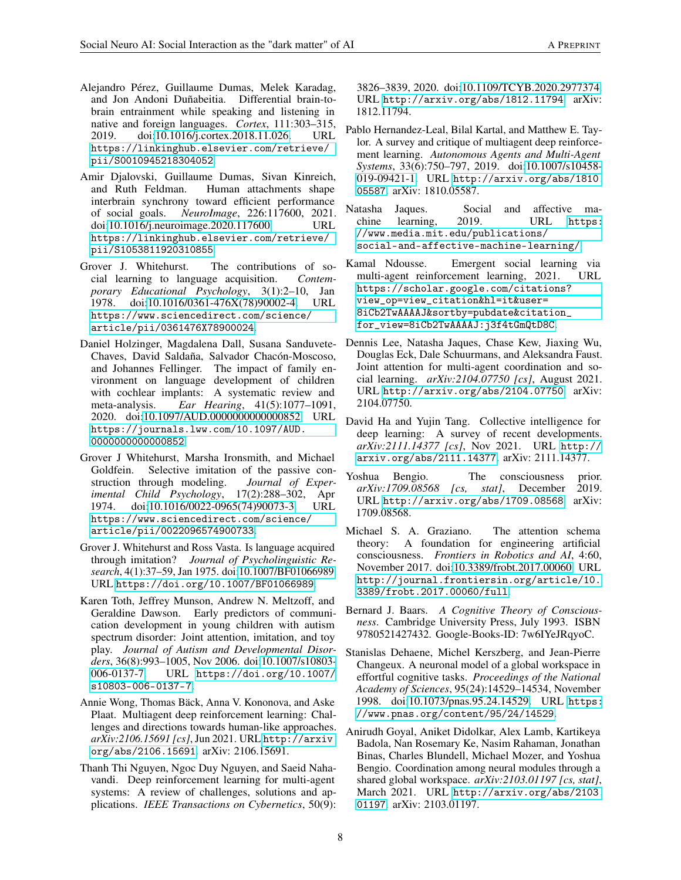- <span id="page-7-0"></span>Alejandro Pérez, Guillaume Dumas, Melek Karadag, and Jon Andoni Duñabeitia. Differential brain-tobrain entrainment while speaking and listening in native and foreign languages. *Cortex*, 111:303–315, 2019. doi[:10.1016/j.cortex.2018.11.026.](https://doi.org/10.1016/j.cortex.2018.11.026) URL [https://linkinghub.elsevier.com/retrieve/](https://linkinghub.elsevier.com/retrieve/pii/S0010945218304052) [pii/S0010945218304052](https://linkinghub.elsevier.com/retrieve/pii/S0010945218304052).
- <span id="page-7-1"></span>Amir Djalovski, Guillaume Dumas, Sivan Kinreich, and Ruth Feldman. Human attachments shape interbrain synchrony toward efficient performance of social goals. *NeuroImage*, 226:117600, 2021. doi[:10.1016/j.neuroimage.2020.117600.](https://doi.org/10.1016/j.neuroimage.2020.117600) URL [https://linkinghub.elsevier.com/retrieve/](https://linkinghub.elsevier.com/retrieve/pii/S1053811920310855) [pii/S1053811920310855](https://linkinghub.elsevier.com/retrieve/pii/S1053811920310855).
- <span id="page-7-2"></span>Grover J. Whitehurst. The contributions of social learning to language acquisition. *Contemporary Educational Psychology*, 3(1):2–10, Jan 1978. doi[:10.1016/0361-476X\(78\)90002-4.](https://doi.org/10.1016/0361-476X(78)90002-4) URL [https://www.sciencedirect.com/science/](https://www.sciencedirect.com/science/article/pii/0361476X78900024) [article/pii/0361476X78900024](https://www.sciencedirect.com/science/article/pii/0361476X78900024).
- <span id="page-7-3"></span>Daniel Holzinger, Magdalena Dall, Susana Sanduvete-Chaves, David Saldaña, Salvador Chacón-Moscoso, and Johannes Fellinger. The impact of family environment on language development of children with cochlear implants: A systematic review and meta-analysis. *Ear Hearing*, 41(5):1077–1091, 2020. doi[:10.1097/AUD.0000000000000852.](https://doi.org/10.1097/AUD.0000000000000852) URL [https://journals.lww.com/10.1097/AUD.](https://journals.lww.com/10.1097/AUD.0000000000000852) [0000000000000852](https://journals.lww.com/10.1097/AUD.0000000000000852).
- <span id="page-7-4"></span>Grover J Whitehurst, Marsha Ironsmith, and Michael Goldfein. Selective imitation of the passive construction through modeling. *Journal of Experimental Child Psychology*, 17(2):288–302, Apr 1974. doi[:10.1016/0022-0965\(74\)90073-3.](https://doi.org/10.1016/0022-0965(74)90073-3) URL [https://www.sciencedirect.com/science/](https://www.sciencedirect.com/science/article/pii/0022096574900733) [article/pii/0022096574900733](https://www.sciencedirect.com/science/article/pii/0022096574900733).
- <span id="page-7-5"></span>Grover J. Whitehurst and Ross Vasta. Is language acquired through imitation? *Journal of Psycholinguistic Research*, 4(1):37–59, Jan 1975. doi[:10.1007/BF01066989.](https://doi.org/10.1007/BF01066989) URL <https://doi.org/10.1007/BF01066989>.
- <span id="page-7-6"></span>Karen Toth, Jeffrey Munson, Andrew N. Meltzoff, and Geraldine Dawson. Early predictors of communication development in young children with autism spectrum disorder: Joint attention, imitation, and toy play. *Journal of Autism and Developmental Disorders*, 36(8):993–1005, Nov 2006. doi[:10.1007/s10803-](https://doi.org/10.1007/s10803-006-0137-7) [006-0137-7.](https://doi.org/10.1007/s10803-006-0137-7) URL [https://doi.org/10.1007/](https://doi.org/10.1007/s10803-006-0137-7) [s10803-006-0137-7](https://doi.org/10.1007/s10803-006-0137-7).
- <span id="page-7-7"></span>Annie Wong, Thomas Bäck, Anna V. Kononova, and Aske Plaat. Multiagent deep reinforcement learning: Challenges and directions towards human-like approaches. *arXiv:2106.15691 [cs]*, Jun 2021. URL [http://arxiv.](http://arxiv.org/abs/2106.15691) [org/abs/2106.15691](http://arxiv.org/abs/2106.15691). arXiv: 2106.15691.
- <span id="page-7-8"></span>Thanh Thi Nguyen, Ngoc Duy Nguyen, and Saeid Nahavandi. Deep reinforcement learning for multi-agent systems: A review of challenges, solutions and applications. *IEEE Transactions on Cybernetics*, 50(9):

3826–3839, 2020. doi[:10.1109/TCYB.2020.2977374.](https://doi.org/10.1109/TCYB.2020.2977374) URL <http://arxiv.org/abs/1812.11794>. arXiv: 1812.11794.

- <span id="page-7-9"></span>Pablo Hernandez-Leal, Bilal Kartal, and Matthew E. Taylor. A survey and critique of multiagent deep reinforcement learning. *Autonomous Agents and Multi-Agent Systems*, 33(6):750–797, 2019. doi[:10.1007/s10458-](https://doi.org/10.1007/s10458-019-09421-1) [019-09421-1.](https://doi.org/10.1007/s10458-019-09421-1) URL [http://arxiv.org/abs/1810.](http://arxiv.org/abs/1810.05587) [05587](http://arxiv.org/abs/1810.05587). arXiv: 1810.05587.
- <span id="page-7-10"></span>Natasha Jaques. Social and affective machine learning, 2019. URL [https:](https://www.media.mit.edu/publications/social-and-affective-machine-learning/) [//www.media.mit.edu/publications/](https://www.media.mit.edu/publications/social-and-affective-machine-learning/) [social-and-affective-machine-learning/](https://www.media.mit.edu/publications/social-and-affective-machine-learning/).
- <span id="page-7-11"></span>Kamal Ndousse. Emergent social learning via multi-agent reinforcement learning, 2021. URL [https://scholar.google.com/citations?](https://scholar.google.com/citations?view_op=view_citation&hl=it&user=8iCb2TwAAAAJ&sortby=pubdate&citation_for_view=8iCb2TwAAAAJ:j3f4tGmQtD8C) [view\\_op=view\\_citation&hl=it&user=](https://scholar.google.com/citations?view_op=view_citation&hl=it&user=8iCb2TwAAAAJ&sortby=pubdate&citation_for_view=8iCb2TwAAAAJ:j3f4tGmQtD8C) [8iCb2TwAAAAJ&sortby=pubdate&citation\\_](https://scholar.google.com/citations?view_op=view_citation&hl=it&user=8iCb2TwAAAAJ&sortby=pubdate&citation_for_view=8iCb2TwAAAAJ:j3f4tGmQtD8C) [for\\_view=8iCb2TwAAAAJ:j3f4tGmQtD8C](https://scholar.google.com/citations?view_op=view_citation&hl=it&user=8iCb2TwAAAAJ&sortby=pubdate&citation_for_view=8iCb2TwAAAAJ:j3f4tGmQtD8C).
- <span id="page-7-12"></span>Dennis Lee, Natasha Jaques, Chase Kew, Jiaxing Wu, Douglas Eck, Dale Schuurmans, and Aleksandra Faust. Joint attention for multi-agent coordination and social learning. *arXiv:2104.07750 [cs]*, August 2021. URL <http://arxiv.org/abs/2104.07750>. arXiv: 2104.07750.
- <span id="page-7-13"></span>David Ha and Yujin Tang. Collective intelligence for deep learning: A survey of recent developments. *arXiv:2111.14377 [cs]*, Nov 2021. URL [http://](http://arxiv.org/abs/2111.14377) [arxiv.org/abs/2111.14377](http://arxiv.org/abs/2111.14377). arXiv: 2111.14377.
- <span id="page-7-14"></span>Yoshua Bengio. The consciousness prior. *arXiv:1709.08568 [cs, stat]*, December 2019. URL <http://arxiv.org/abs/1709.08568>. arXiv: 1709.08568.
- <span id="page-7-15"></span>Michael S. A. Graziano. The attention schema theory: A foundation for engineering artificial consciousness. *Frontiers in Robotics and AI*, 4:60, November 2017. doi[:10.3389/frobt.2017.00060.](https://doi.org/10.3389/frobt.2017.00060) URL [http://journal.frontiersin.org/article/10.](http://journal.frontiersin.org/article/10.3389/frobt.2017.00060/full) [3389/frobt.2017.00060/full](http://journal.frontiersin.org/article/10.3389/frobt.2017.00060/full).
- <span id="page-7-16"></span>Bernard J. Baars. *A Cognitive Theory of Consciousness*. Cambridge University Press, July 1993. ISBN 9780521427432. Google-Books-ID: 7w6IYeJRqyoC.
- <span id="page-7-17"></span>Stanislas Dehaene, Michel Kerszberg, and Jean-Pierre Changeux. A neuronal model of a global workspace in effortful cognitive tasks. *Proceedings of the National Academy of Sciences*, 95(24):14529–14534, November 1998. doi[:10.1073/pnas.95.24.14529.](https://doi.org/10.1073/pnas.95.24.14529) URL [https:](https://www.pnas.org/content/95/24/14529) [//www.pnas.org/content/95/24/14529](https://www.pnas.org/content/95/24/14529).
- <span id="page-7-18"></span>Anirudh Goyal, Aniket Didolkar, Alex Lamb, Kartikeya Badola, Nan Rosemary Ke, Nasim Rahaman, Jonathan Binas, Charles Blundell, Michael Mozer, and Yoshua Bengio. Coordination among neural modules through a shared global workspace. *arXiv:2103.01197 [cs, stat]*, March 2021. URL [http://arxiv.org/abs/2103.](http://arxiv.org/abs/2103.01197) [01197](http://arxiv.org/abs/2103.01197). arXiv: 2103.01197.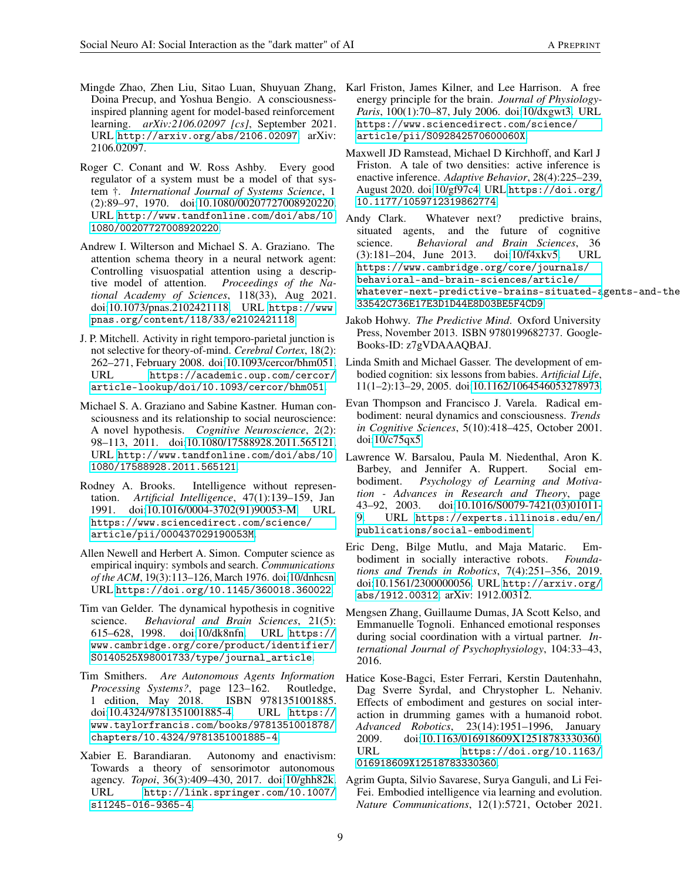- <span id="page-8-0"></span>Mingde Zhao, Zhen Liu, Sitao Luan, Shuyuan Zhang, Doina Precup, and Yoshua Bengio. A consciousnessinspired planning agent for model-based reinforcement learning. *arXiv:2106.02097 [cs]*, September 2021. URL <http://arxiv.org/abs/2106.02097>. arXiv: 2106.02097.
- <span id="page-8-1"></span>Roger C. Conant and W. Ross Ashby. Every good regulator of a system must be a model of that system †. *International Journal of Systems Science*, 1 (2):89–97, 1970. doi[:10.1080/00207727008920220.](https://doi.org/10.1080/00207727008920220) URL [http://www.tandfonline.com/doi/abs/10.](http://www.tandfonline.com/doi/abs/10.1080/00207727008920220) [1080/00207727008920220](http://www.tandfonline.com/doi/abs/10.1080/00207727008920220).
- <span id="page-8-2"></span>Andrew I. Wilterson and Michael S. A. Graziano. The attention schema theory in a neural network agent: Controlling visuospatial attention using a descriptive model of attention. *Proceedings of the National Academy of Sciences*, 118(33), Aug 2021. doi[:10.1073/pnas.2102421118.](https://doi.org/10.1073/pnas.2102421118) URL [https://www.](https://www.pnas.org/content/118/33/e2102421118) [pnas.org/content/118/33/e2102421118](https://www.pnas.org/content/118/33/e2102421118).
- <span id="page-8-3"></span>J. P. Mitchell. Activity in right temporo-parietal junction is not selective for theory-of-mind. *Cerebral Cortex*, 18(2): 262–271, February 2008. doi[:10.1093/cercor/bhm051.](https://doi.org/10.1093/cercor/bhm051) URL [https://academic.oup.com/cercor/](https://academic.oup.com/cercor/article-lookup/doi/10.1093/cercor/bhm051) [article-lookup/doi/10.1093/cercor/bhm051](https://academic.oup.com/cercor/article-lookup/doi/10.1093/cercor/bhm051).
- <span id="page-8-4"></span>Michael S. A. Graziano and Sabine Kastner. Human consciousness and its relationship to social neuroscience: A novel hypothesis. *Cognitive Neuroscience*, 2(2): 98–113, 2011. doi[:10.1080/17588928.2011.565121.](https://doi.org/10.1080/17588928.2011.565121) URL [http://www.tandfonline.com/doi/abs/10.](http://www.tandfonline.com/doi/abs/10.1080/17588928.2011.565121) Lawrence W. Barsalou, Paula M. Niedenthal, Aron K. [1080/17588928.2011.565121](http://www.tandfonline.com/doi/abs/10.1080/17588928.2011.565121).
- <span id="page-8-5"></span>Rodney A. Brooks. Intelligence without representation. *Artificial Intelligence*, 47(1):139–159, Jan 1991. doi[:10.1016/0004-3702\(91\)90053-M.](https://doi.org/10.1016/0004-3702(91)90053-M) URL [https://www.sciencedirect.com/science/](https://www.sciencedirect.com/science/article/pii/000437029190053M) [article/pii/000437029190053M](https://www.sciencedirect.com/science/article/pii/000437029190053M).
- <span id="page-8-6"></span>Allen Newell and Herbert A. Simon. Computer science as empirical inquiry: symbols and search. *Communications of the ACM*, 19(3):113–126, March 1976. doi[:10/dnhcsn.](https://doi.org/10/dnhcsn) URL <https://doi.org/10.1145/360018.360022>.
- <span id="page-8-7"></span>Tim van Gelder. The dynamical hypothesis in cognitive science. *Behavioral and Brain Sciences*, 21(5): 615–628, 1998. doi[:10/dk8nfn.](https://doi.org/10/dk8nfn) URL [https://](https://www.cambridge.org/core/product/identifier/S0140525X98001733/type/journal_article) [www.cambridge.org/core/product/identifier/](https://www.cambridge.org/core/product/identifier/S0140525X98001733/type/journal_article) [S0140525X98001733/type/journal\\_article](https://www.cambridge.org/core/product/identifier/S0140525X98001733/type/journal_article).
- <span id="page-8-8"></span>Tim Smithers. *Are Autonomous Agents Information Processing Systems?*, page 123–162. Routledge, 1 edition, May 2018. ISBN 9781351001885. doi[:10.4324/9781351001885-4.](https://doi.org/10.4324/9781351001885-4) URL [https://](https://www.taylorfrancis.com/books/9781351001878/chapters/10.4324/9781351001885-4) [www.taylorfrancis.com/books/9781351001878/](https://www.taylorfrancis.com/books/9781351001878/chapters/10.4324/9781351001885-4) [chapters/10.4324/9781351001885-4](https://www.taylorfrancis.com/books/9781351001878/chapters/10.4324/9781351001885-4).
- <span id="page-8-9"></span>Xabier E. Barandiaran. Autonomy and enactivism: Towards a theory of sensorimotor autonomous agency. *Topoi*, 36(3):409–430, 2017. doi[:10/ghh82k.](https://doi.org/10/ghh82k) URL [http://link.springer.com/10.1007/](http://link.springer.com/10.1007/s11245-016-9365-4) [s11245-016-9365-4](http://link.springer.com/10.1007/s11245-016-9365-4).
- <span id="page-8-10"></span>Karl Friston, James Kilner, and Lee Harrison. A free energy principle for the brain. *Journal of Physiology-Paris*, 100(1):70–87, July 2006. doi[:10/dxgwt3.](https://doi.org/10/dxgwt3) URL [https://www.sciencedirect.com/science/](https://www.sciencedirect.com/science/article/pii/S092842570600060X) [article/pii/S092842570600060X](https://www.sciencedirect.com/science/article/pii/S092842570600060X).
- <span id="page-8-11"></span>Maxwell JD Ramstead, Michael D Kirchhoff, and Karl J Friston. A tale of two densities: active inference is enactive inference. *Adaptive Behavior*, 28(4):225–239, August 2020. doi[:10/gf97c4.](https://doi.org/10/gf97c4) URL [https://doi.org/](https://doi.org/10.1177/1059712319862774) [10.1177/1059712319862774](https://doi.org/10.1177/1059712319862774).
- <span id="page-8-12"></span>Andy Clark. Whatever next? predictive brains, situated agents, and the future of cognitive science. *Behavioral and Brain Sciences*, 36 (3):181–204, June 2013. doi[:10/f4xkv5.](https://doi.org/10/f4xkv5) URL [https://www.cambridge.org/core/journals/](https://www.cambridge.org/core/journals/behavioral-and-brain-sciences/article/whatever-next-predictive-brains-situated-agents-and-the-future-of-cognitive-science/33542C736E17E3D1D44E8D03BE5F4CD9) [behavioral-and-brain-sciences/article/](https://www.cambridge.org/core/journals/behavioral-and-brain-sciences/article/whatever-next-predictive-brains-situated-agents-and-the-future-of-cognitive-science/33542C736E17E3D1D44E8D03BE5F4CD9) [whatever-next-predictive-brains-situated-a](https://www.cambridge.org/core/journals/behavioral-and-brain-sciences/article/whatever-next-predictive-brains-situated-agents-and-the-future-of-cognitive-science/33542C736E17E3D1D44E8D03BE5F4CD9)gents-and-the [33542C736E17E3D1D44E8D03BE5F4CD9](https://www.cambridge.org/core/journals/behavioral-and-brain-sciences/article/whatever-next-predictive-brains-situated-agents-and-the-future-of-cognitive-science/33542C736E17E3D1D44E8D03BE5F4CD9).
- <span id="page-8-13"></span>Jakob Hohwy. *The Predictive Mind*. Oxford University Press, November 2013. ISBN 9780199682737. Google-Books-ID: z7gVDAAAQBAJ.
- <span id="page-8-14"></span>Linda Smith and Michael Gasser. The development of embodied cognition: six lessons from babies. *Artificial Life*, 11(1–2):13–29, 2005. doi[:10.1162/1064546053278973.](https://doi.org/10.1162/1064546053278973)
- <span id="page-8-15"></span>Evan Thompson and Francisco J. Varela. Radical embodiment: neural dynamics and consciousness. *Trends in Cognitive Sciences*, 5(10):418–425, October 2001. doi[:10/c75qx5.](https://doi.org/10/c75qx5)
- <span id="page-8-16"></span>Barbey, and Jennifer A. Ruppert. Social embodiment. *Psychology of Learning and Motivation - Advances in Research and Theory*, page 43–92, 2003. doi[:10.1016/S0079-7421\(03\)01011-](https://doi.org/10.1016/S0079-7421(03)01011-9) [9.](https://doi.org/10.1016/S0079-7421(03)01011-9) URL [https://experts.illinois.edu/en/](https://experts.illinois.edu/en/publications/social-embodiment) [publications/social-embodiment](https://experts.illinois.edu/en/publications/social-embodiment).
- <span id="page-8-17"></span>Eric Deng, Bilge Mutlu, and Maja Mataric. Embodiment in socially interactive robots. *Foundations and Trends in Robotics*, 7(4):251–356, 2019. doi[:10.1561/2300000056.](https://doi.org/10.1561/2300000056) URL [http://arxiv.org/](http://arxiv.org/abs/1912.00312) [abs/1912.00312](http://arxiv.org/abs/1912.00312). arXiv: 1912.00312.
- <span id="page-8-18"></span>Mengsen Zhang, Guillaume Dumas, JA Scott Kelso, and Emmanuelle Tognoli. Enhanced emotional responses during social coordination with a virtual partner. *International Journal of Psychophysiology*, 104:33–43, 2016.
- <span id="page-8-19"></span>Hatice Kose-Bagci, Ester Ferrari, Kerstin Dautenhahn, Dag Sverre Syrdal, and Chrystopher L. Nehaniv. Effects of embodiment and gestures on social interaction in drumming games with a humanoid robot. *Advanced Robotics*, 23(14):1951–1996, January 2009. doi[:10.1163/016918609X12518783330360.](https://doi.org/10.1163/016918609X12518783330360)<br>https://doi.org/10.1163/ [https://doi.org/10.1163/](https://doi.org/10.1163/016918609X12518783330360) [016918609X12518783330360](https://doi.org/10.1163/016918609X12518783330360).
- <span id="page-8-20"></span>Agrim Gupta, Silvio Savarese, Surya Ganguli, and Li Fei-Fei. Embodied intelligence via learning and evolution. *Nature Communications*, 12(1):5721, October 2021.